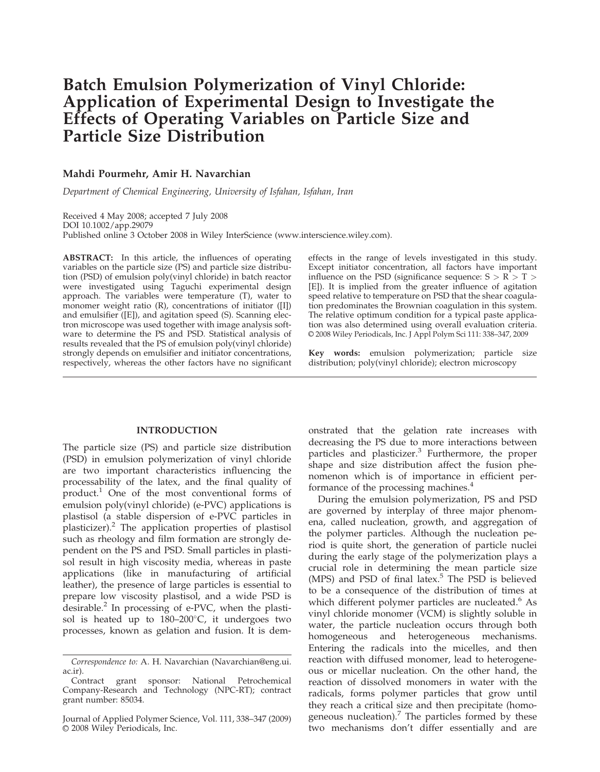# Batch Emulsion Polymerization of Vinyl Chloride: Application of Experimental Design to Investigate the Effects of Operating Variables on Particle Size and Particle Size Distribution

### Mahdi Pourmehr, Amir H. Navarchian

Department of Chemical Engineering, University of Isfahan, Isfahan, Iran

Received 4 May 2008; accepted 7 July 2008 DOI 10.1002/app.29079 Published online 3 October 2008 in Wiley InterScience (www.interscience.wiley.com).

ABSTRACT: In this article, the influences of operating variables on the particle size (PS) and particle size distribution (PSD) of emulsion poly(vinyl chloride) in batch reactor were investigated using Taguchi experimental design approach. The variables were temperature (T), water to monomer weight ratio  $(R)$ , concentrations of initiator  $(II)$ and emulsifier ([E]), and agitation speed (S). Scanning electron microscope was used together with image analysis software to determine the PS and PSD. Statistical analysis of results revealed that the PS of emulsion poly(vinyl chloride) strongly depends on emulsifier and initiator concentrations, respectively, whereas the other factors have no significant

## INTRODUCTION

The particle size (PS) and particle size distribution (PSD) in emulsion polymerization of vinyl chloride are two important characteristics influencing the processability of the latex, and the final quality of product.<sup>1</sup> One of the most conventional forms of emulsion poly(vinyl chloride) (e-PVC) applications is plastisol (a stable dispersion of e-PVC particles in plasticizer). $^2$  The application properties of plastisol such as rheology and film formation are strongly dependent on the PS and PSD. Small particles in plastisol result in high viscosity media, whereas in paste applications (like in manufacturing of artificial leather), the presence of large particles is essential to prepare low viscosity plastisol, and a wide PSD is desirable. $^2$  In processing of e-PVC, when the plastisol is heated up to  $180-200^{\circ}$ C, it undergoes two processes, known as gelation and fusion. It is demeffects in the range of levels investigated in this study. Except initiator concentration, all factors have important influence on the PSD (significance sequence:  $S > R > T >$ [E]). It is implied from the greater influence of agitation speed relative to temperature on PSD that the shear coagulation predominates the Brownian coagulation in this system. The relative optimum condition for a typical paste application was also determined using overall evaluation criteria. V<sup>C</sup> 2008 Wiley Periodicals, Inc. J Appl Polym Sci 111: 338–347, 2009

Key words: emulsion polymerization; particle size distribution; poly(vinyl chloride); electron microscopy

onstrated that the gelation rate increases with decreasing the PS due to more interactions between particles and plasticizer.<sup>3</sup> Furthermore, the proper shape and size distribution affect the fusion phenomenon which is of importance in efficient performance of the processing machines.<sup>4</sup>

During the emulsion polymerization, PS and PSD are governed by interplay of three major phenomena, called nucleation, growth, and aggregation of the polymer particles. Although the nucleation period is quite short, the generation of particle nuclei during the early stage of the polymerization plays a crucial role in determining the mean particle size (MPS) and PSD of final latex. $5$  The PSD is believed to be a consequence of the distribution of times at which different polymer particles are nucleated.<sup>6</sup> As vinyl chloride monomer (VCM) is slightly soluble in water, the particle nucleation occurs through both homogeneous and heterogeneous mechanisms. Entering the radicals into the micelles, and then reaction with diffused monomer, lead to heterogeneous or micellar nucleation. On the other hand, the reaction of dissolved monomers in water with the radicals, forms polymer particles that grow until they reach a critical size and then precipitate (homogeneous nucleation).<sup>7</sup> The particles formed by these

Correspondence to: A. H. Navarchian (Navarchian@eng.ui. ac.ir).

Contract grant sponsor: National Petrochemical Company-Research and Technology (NPC-RT); contract grant number: 85034.

Journal of Applied Polymer Science, Vol. 111, 338–347 (2009) geneous nucleation). The particles formed by these<br>© 2008 Wiley Periodicals, Inc. the article of the two mechanisms don't differ essentially and are  $©$  2008 Wiley Periodicals, Inc.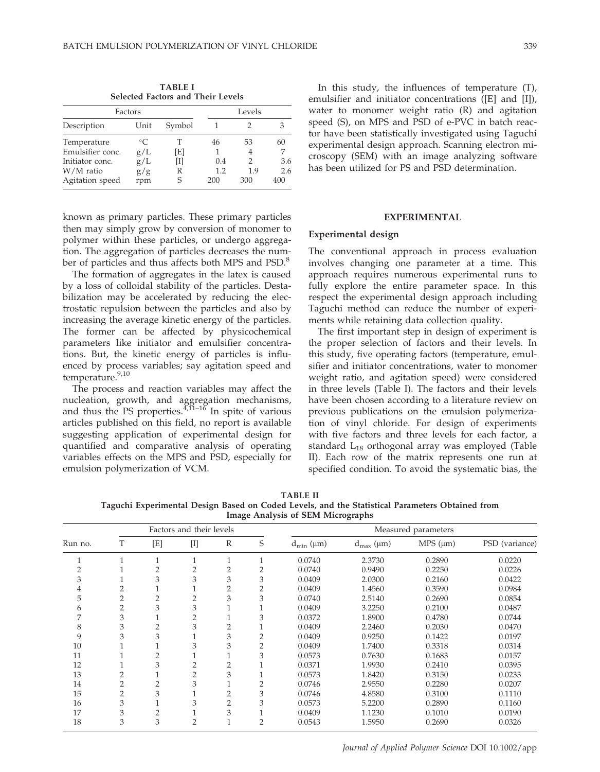TABLE I Selected Factors and Their Levels

|                                                                                    | Factors                                 | Levels             |                         |                       |                         |
|------------------------------------------------------------------------------------|-----------------------------------------|--------------------|-------------------------|-----------------------|-------------------------|
| Description                                                                        | Unit                                    | Symbol             |                         |                       |                         |
| Temperature<br>Emulsifier conc.<br>Initiator conc.<br>W/M ratio<br>Agitation speed | $^{\circ}C$<br>g/L<br>g/L<br>g/g<br>rpm | [E]<br>Ш<br>R<br>S | 46<br>0.4<br>1.2<br>200 | 53<br>2<br>1.9<br>300 | 60<br>3.6<br>2.6<br>400 |

known as primary particles. These primary particles then may simply grow by conversion of monomer to polymer within these particles, or undergo aggregation. The aggregation of particles decreases the number of particles and thus affects both MPS and PSD.<sup>8</sup>

The formation of aggregates in the latex is caused by a loss of colloidal stability of the particles. Destabilization may be accelerated by reducing the electrostatic repulsion between the particles and also by increasing the average kinetic energy of the particles. The former can be affected by physicochemical parameters like initiator and emulsifier concentrations. But, the kinetic energy of particles is influenced by process variables; say agitation speed and temperature.<sup>9,10</sup>

The process and reaction variables may affect the nucleation, growth, and aggregation mechanisms, and thus the PS properties.  $4,11-16$  In spite of various articles published on this field, no report is available suggesting application of experimental design for quantified and comparative analysis of operating variables effects on the MPS and PSD, especially for emulsion polymerization of VCM.

In this study, the influences of temperature (T), emulsifier and initiator concentrations ([E] and [I]), water to monomer weight ratio (R) and agitation speed (S), on MPS and PSD of e-PVC in batch reactor have been statistically investigated using Taguchi experimental design approach. Scanning electron microscopy (SEM) with an image analyzing software has been utilized for PS and PSD determination.

#### EXPERIMENTAL

#### Experimental design

The conventional approach in process evaluation involves changing one parameter at a time. This approach requires numerous experimental runs to fully explore the entire parameter space. In this respect the experimental design approach including Taguchi method can reduce the number of experiments while retaining data collection quality.

The first important step in design of experiment is the proper selection of factors and their levels. In this study, five operating factors (temperature, emulsifier and initiator concentrations, water to monomer weight ratio, and agitation speed) were considered in three levels (Table I). The factors and their levels have been chosen according to a literature review on previous publications on the emulsion polymerization of vinyl chloride. For design of experiments with five factors and three levels for each factor, a standard  $L_{18}$  orthogonal array was employed (Table II). Each row of the matrix represents one run at specified condition. To avoid the systematic bias, the

TABLE II Taguchi Experimental Design Based on Coded Levels, and the Statistical Parameters Obtained from Image Analysis of SEM Micrographs

|         | Factors and their levels |                |                |                |                | Measured parameters   |                       |                  |                |
|---------|--------------------------|----------------|----------------|----------------|----------------|-----------------------|-----------------------|------------------|----------------|
| Run no. | T                        | [E]            | $[1]$          | R              | S              | $d_{\min}$ ( $\mu$ m) | $d_{\text{max}}$ (µm) | $MPS$ ( $\mu$ m) | PSD (variance) |
|         |                          |                |                |                |                | 0.0740                | 2.3730                | 0.2890           | 0.0220         |
|         |                          | 2              | $\overline{2}$ | $\overline{2}$ |                | 0.0740                | 0.9490                | 0.2250           | 0.0226         |
| 3       |                          | 3              | 3              | 3              | 3              | 0.0409                | 2.0300                | 0.2160           | 0.0422         |
| 4       |                          |                |                | $\overline{2}$ | 2              | 0.0409                | 1.4560                | 0.3590           | 0.0984         |
| 5       |                          | $\overline{2}$ | $\overline{2}$ | 3              | 3              | 0.0740                | 2.5140                | 0.2690           | 0.0854         |
| 6       |                          | 3              | 3              |                |                | 0.0409                | 3.2250                | 0.2100           | 0.0487         |
| 7       | 3                        |                | $\overline{2}$ |                | 3              | 0.0372                | 1.8900                | 0.4780           | 0.0744         |
| 8       | 3                        | $\overline{2}$ | 3              | $\overline{2}$ |                | 0.0409                | 2.2460                | 0.2030           | 0.0470         |
| 9       | 3                        | 3              |                | 3              |                | 0.0409                | 0.9250                | 0.1422           | 0.0197         |
| 10      |                          |                | 3              | 3              | 2              | 0.0409                | 1.7400                | 0.3318           | 0.0314         |
| 11      |                          | 2              |                |                | 3              | 0.0573                | 0.7630                | 0.1683           | 0.0157         |
| 12      |                          | 3              | $\overline{2}$ | $\overline{2}$ |                | 0.0371                | 1.9930                | 0.2410           | 0.0395         |
| 13      |                          |                | $\overline{2}$ | 3              |                | 0.0573                | 1.8420                | 0.3150           | 0.0233         |
| 14      |                          | 2              | 3              |                | 2              | 0.0746                | 2.9550                | 0.2280           | 0.0207         |
| 15      |                          | 3              |                | $\overline{2}$ | 3              | 0.0746                | 4.8580                | 0.3100           | 0.1110         |
| 16      | 3                        |                | 3              | $\overline{2}$ | 3              | 0.0573                | 5.2200                | 0.2890           | 0.1160         |
| 17      | 3                        | $\overline{2}$ |                | 3              |                | 0.0409                | 1.1230                | 0.1010           | 0.0190         |
| 18      | 3                        | 3              | $\overline{2}$ |                | $\overline{2}$ | 0.0543                | 1.5950                | 0.2690           | 0.0326         |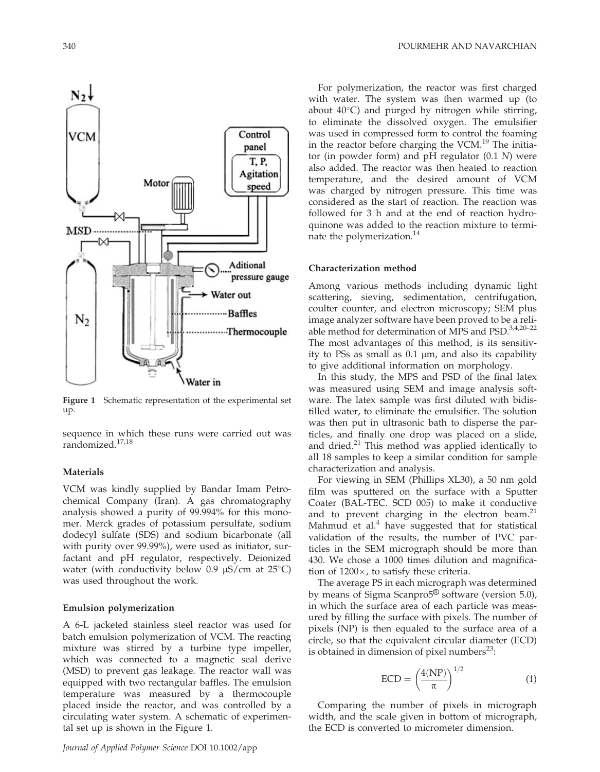

Figure 1 Schematic representation of the experimental set up.

sequence in which these runs were carried out was randomized.17,18

#### Materials

VCM was kindly supplied by Bandar Imam Petrochemical Company (Iran). A gas chromatography analysis showed a purity of 99.994% for this monomer. Merck grades of potassium persulfate, sodium dodecyl sulfate (SDS) and sodium bicarbonate (all with purity over 99.99%), were used as initiator, surfactant and pH regulator, respectively. Deionized water (with conductivity below 0.9  $\mu$ S/cm at 25°C) was used throughout the work.

#### Emulsion polymerization

A 6-L jacketed stainless steel reactor was used for batch emulsion polymerization of VCM. The reacting mixture was stirred by a turbine type impeller, which was connected to a magnetic seal derive (MSD) to prevent gas leakage. The reactor wall was equipped with two rectangular baffles. The emulsion temperature was measured by a thermocouple placed inside the reactor, and was controlled by a circulating water system. A schematic of experimental set up is shown in the Figure 1.

For polymerization, the reactor was first charged with water. The system was then warmed up (to about  $40^{\circ}$ C) and purged by nitrogen while stirring, to eliminate the dissolved oxygen. The emulsifier was used in compressed form to control the foaming in the reactor before charging the VCM.<sup>19</sup> The initiator (in powder form) and pH regulator (0.1 N) were also added. The reactor was then heated to reaction temperature, and the desired amount of VCM was charged by nitrogen pressure. This time was considered as the start of reaction. The reaction was followed for 3 h and at the end of reaction hydroquinone was added to the reaction mixture to terminate the polymerization.<sup>14</sup>

#### Characterization method

Among various methods including dynamic light scattering, sieving, sedimentation, centrifugation, coulter counter, and electron microscopy; SEM plus image analyzer software have been proved to be a reliable method for determination of MPS and  $PSD.<sup>3,4,20-22</sup>$ The most advantages of this method, is its sensitivity to PSs as small as  $0.1 \mu m$ , and also its capability to give additional information on morphology.

In this study, the MPS and PSD of the final latex was measured using SEM and image analysis software. The latex sample was first diluted with bidistilled water, to eliminate the emulsifier. The solution was then put in ultrasonic bath to disperse the particles, and finally one drop was placed on a slide, and dried.<sup>21</sup> This method was applied identically to all 18 samples to keep a similar condition for sample characterization and analysis.

For viewing in SEM (Phillips XL30), a 50 nm gold film was sputtered on the surface with a Sputter Coater (BAL-TEC. SCD 005) to make it conductive and to prevent charging in the electron beam. $21$ Mahmud et al. $4$  have suggested that for statistical validation of the results, the number of PVC particles in the SEM micrograph should be more than 430. We chose a 1000 times dilution and magnification of  $1200 \times$ , to satisfy these criteria.

The average PS in each micrograph was determined by means of Sigma Scanpro $5^{\circ}$  software (version 5.0), in which the surface area of each particle was measured by filling the surface with pixels. The number of pixels (NP) is then equaled to the surface area of a circle, so that the equivalent circular diameter (ECD) is obtained in dimension of pixel numbers $^{23}$ :

$$
ECD = \left(\frac{4(NP)}{\pi}\right)^{1/2} \tag{1}
$$

Comparing the number of pixels in micrograph width, and the scale given in bottom of micrograph, the ECD is converted to micrometer dimension.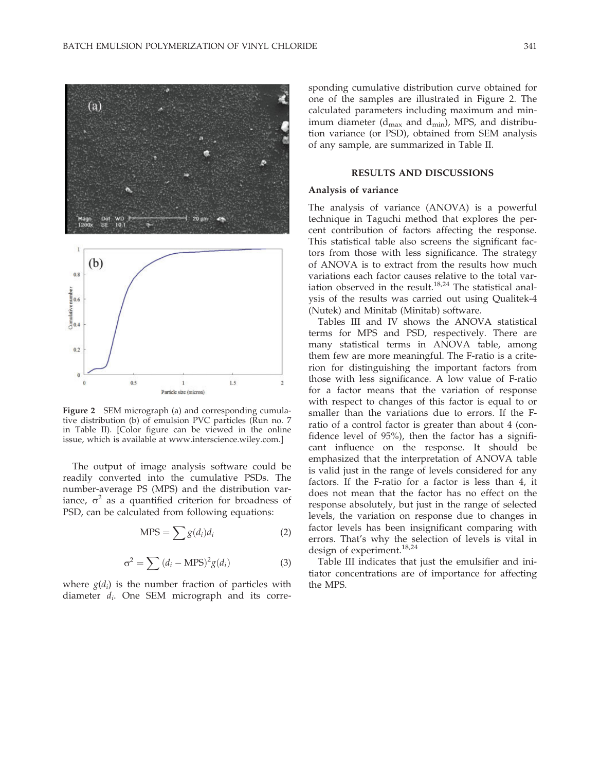

Figure 2 SEM micrograph (a) and corresponding cumulative distribution (b) of emulsion PVC particles (Run no. 7 in Table II). [Color figure can be viewed in the online issue, which is available at www.interscience.wiley.com.]

The output of image analysis software could be readily converted into the cumulative PSDs. The number-average PS (MPS) and the distribution variance,  $\sigma^2$  as a quantified criterion for broadness of PSD, can be calculated from following equations:

$$
MPS = \sum g(d_i) d_i \tag{2}
$$

$$
\sigma^2 = \sum (d_i - \text{MPS})^2 g(d_i)
$$
 (3)

where  $g(d_i)$  is the number fraction of particles with diameter  $d_i$ . One SEM micrograph and its corresponding cumulative distribution curve obtained for one of the samples are illustrated in Figure 2. The calculated parameters including maximum and minimum diameter ( $d_{max}$  and  $d_{min}$ ), MPS, and distribution variance (or PSD), obtained from SEM analysis of any sample, are summarized in Table II.

## RESULTS AND DISCUSSIONS

## Analysis of variance

The analysis of variance (ANOVA) is a powerful technique in Taguchi method that explores the percent contribution of factors affecting the response. This statistical table also screens the significant factors from those with less significance. The strategy of ANOVA is to extract from the results how much variations each factor causes relative to the total variation observed in the result.<sup>18,24</sup> The statistical analysis of the results was carried out using Qualitek-4 (Nutek) and Minitab (Minitab) software.

Tables III and IV shows the ANOVA statistical terms for MPS and PSD, respectively. There are many statistical terms in ANOVA table, among them few are more meaningful. The F-ratio is a criterion for distinguishing the important factors from those with less significance. A low value of F-ratio for a factor means that the variation of response with respect to changes of this factor is equal to or smaller than the variations due to errors. If the Fratio of a control factor is greater than about 4 (confidence level of 95%), then the factor has a significant influence on the response. It should be emphasized that the interpretation of ANOVA table is valid just in the range of levels considered for any factors. If the F-ratio for a factor is less than 4, it does not mean that the factor has no effect on the response absolutely, but just in the range of selected levels, the variation on response due to changes in factor levels has been insignificant comparing with errors. That's why the selection of levels is vital in design of experiment.<sup>18,24</sup>

Table III indicates that just the emulsifier and initiator concentrations are of importance for affecting the MPS.